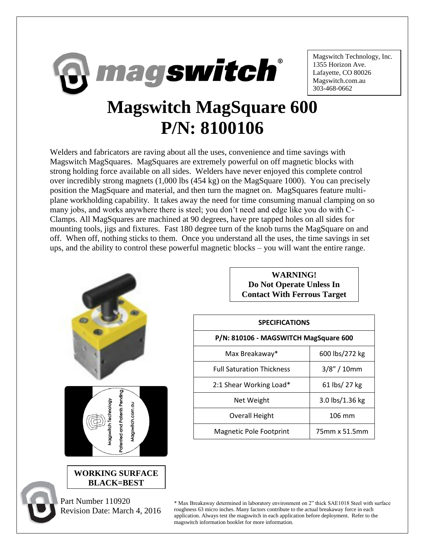

Magswitch Technology, Inc. 1355 Horizon Ave. Lafayette, CO 80026 Magswitch.com.au 303-468-0662

## **Magswitch MagSquare 600 P/N: 8100106**

Welders and fabricators are raving about all the uses, convenience and time savings with Magswitch MagSquares. MagSquares are extremely powerful on off magnetic blocks with strong holding force available on all sides. Welders have never enjoyed this complete control over incredibly strong magnets (1,000 lbs (454 kg) on the MagSquare 1000). You can precisely position the MagSquare and material, and then turn the magnet on. MagSquares feature multiplane workholding capability. It takes away the need for time consuming manual clamping on so many jobs, and works anywhere there is steel; you don't need and edge like you do with C-Clamps. All MagSquares are machined at 90 degrees, have pre tapped holes on all sides for mounting tools, jigs and fixtures. Fast 180 degree turn of the knob turns the MagSquare on and off. When off, nothing sticks to them. Once you understand all the uses, the time savings in set ups, and the ability to control these powerful magnetic blocks – you will want the entire range.



Revision Date: March 4, 2016

**WARNING! Do Not Operate Unless In Contact With Ferrous Target**

| <b>SPECIFICATIONS</b>                 |                 |
|---------------------------------------|-----------------|
| P/N: 810106 - MAGSWITCH MagSquare 600 |                 |
| Max Breakaway*                        | 600 lbs/272 kg  |
| <b>Full Saturation Thickness</b>      | $3/8''/10$ mm   |
| 2:1 Shear Working Load*               | 61 lbs/ 27 kg   |
| Net Weight                            | 3.0 lbs/1.36 kg |
| Overall Height                        | 106 mm          |
| Magnetic Pole Footprint               | 75mm x 51.5mm   |

\* Max Breakaway determined in laboratory environment on 2" thick SAE1018 Steel with surface roughness 63 micro inches. Many factors contribute to the actual breakaway force in each application. Always test the magswitch in each application before deployment. Refer to the magswitch information booklet for more information.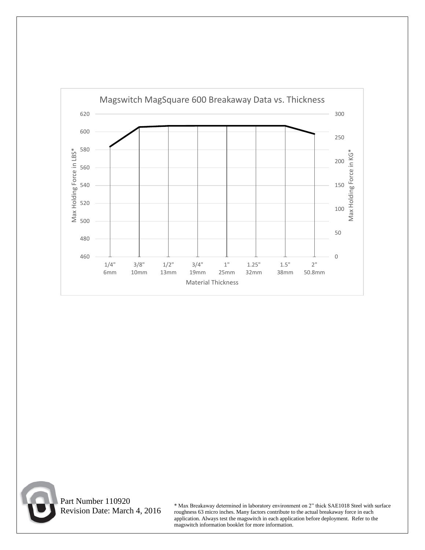



 Part Number 110920 Revision Date: March 4, 2016

\* Max Breakaway determined in laboratory environment on 2" thick SAE1018 Steel with surface roughness 63 micro inches. Many factors contribute to the actual breakaway force in each application. Always test the magswitch in each application before deployment. Refer to the magswitch information booklet for more information.